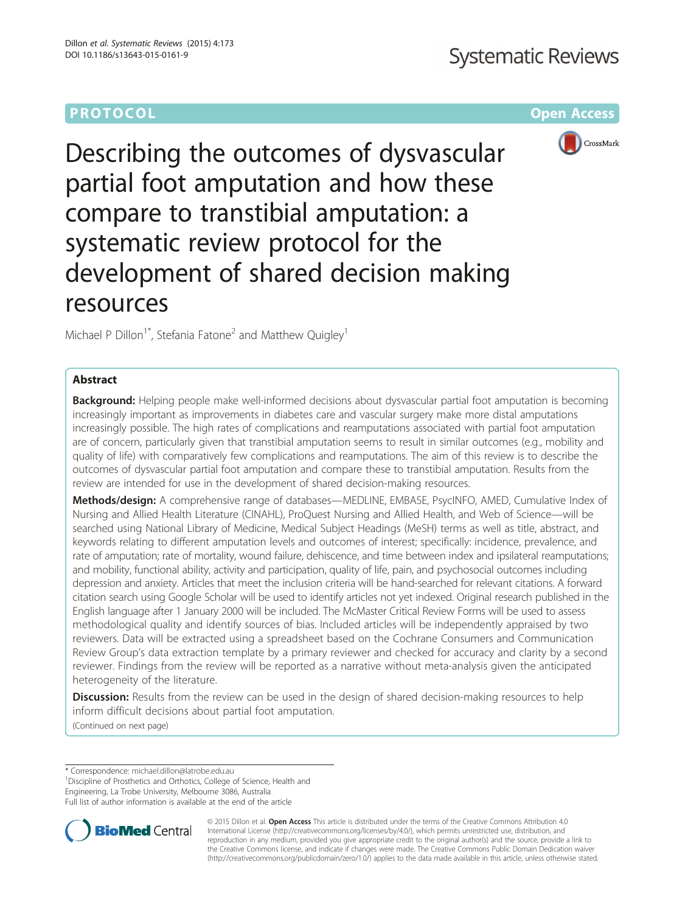# **PROTOCOL CONSUMING ACCESS CONSUMING ACCESS**



Describing the outcomes of dysvascular partial foot amputation and how these compare to transtibial amputation: a systematic review protocol for the development of shared decision making resources

Michael P Dillon<sup>1</sup><sup>\*</sup>, Stefania Fatone<sup>2</sup> and Matthew Quigley<sup>1</sup>

### Abstract

Background: Helping people make well-informed decisions about dysvascular partial foot amputation is becoming increasingly important as improvements in diabetes care and vascular surgery make more distal amputations increasingly possible. The high rates of complications and reamputations associated with partial foot amputation are of concern, particularly given that transtibial amputation seems to result in similar outcomes (e.g., mobility and quality of life) with comparatively few complications and reamputations. The aim of this review is to describe the outcomes of dysvascular partial foot amputation and compare these to transtibial amputation. Results from the review are intended for use in the development of shared decision-making resources.

Methods/design: A comprehensive range of databases—MEDLINE, EMBASE, PsycINFO, AMED, Cumulative Index of Nursing and Allied Health Literature (CINAHL), ProQuest Nursing and Allied Health, and Web of Science—will be searched using National Library of Medicine, Medical Subject Headings (MeSH) terms as well as title, abstract, and keywords relating to different amputation levels and outcomes of interest; specifically: incidence, prevalence, and rate of amputation; rate of mortality, wound failure, dehiscence, and time between index and ipsilateral reamputations; and mobility, functional ability, activity and participation, quality of life, pain, and psychosocial outcomes including depression and anxiety. Articles that meet the inclusion criteria will be hand-searched for relevant citations. A forward citation search using Google Scholar will be used to identify articles not yet indexed. Original research published in the English language after 1 January 2000 will be included. The McMaster Critical Review Forms will be used to assess methodological quality and identify sources of bias. Included articles will be independently appraised by two reviewers. Data will be extracted using a spreadsheet based on the Cochrane Consumers and Communication Review Group's data extraction template by a primary reviewer and checked for accuracy and clarity by a second reviewer. Findings from the review will be reported as a narrative without meta-analysis given the anticipated heterogeneity of the literature.

**Discussion:** Results from the review can be used in the design of shared decision-making resources to help inform difficult decisions about partial foot amputation.

(Continued on next page)

\* Correspondence: [michael.dillon@latrobe.edu.au](mailto:michael.dillon@latrobe.edu.au) <sup>1</sup>

<sup>1</sup> Discipline of Prosthetics and Orthotics, College of Science, Health and

Engineering, La Trobe University, Melbourne 3086, Australia

Full list of author information is available at the end of the article



© 2015 Dillon et al. Open Access This article is distributed under the terms of the Creative Commons Attribution 4.0 International License [\(http://creativecommons.org/licenses/by/4.0/](http://creativecommons.org/licenses/by/4.0/)), which permits unrestricted use, distribution, and reproduction in any medium, provided you give appropriate credit to the original author(s) and the source, provide a link to the Creative Commons license, and indicate if changes were made. The Creative Commons Public Domain Dedication waiver [\(http://creativecommons.org/publicdomain/zero/1.0/](http://creativecommons.org/publicdomain/zero/1.0/)) applies to the data made available in this article, unless otherwise stated.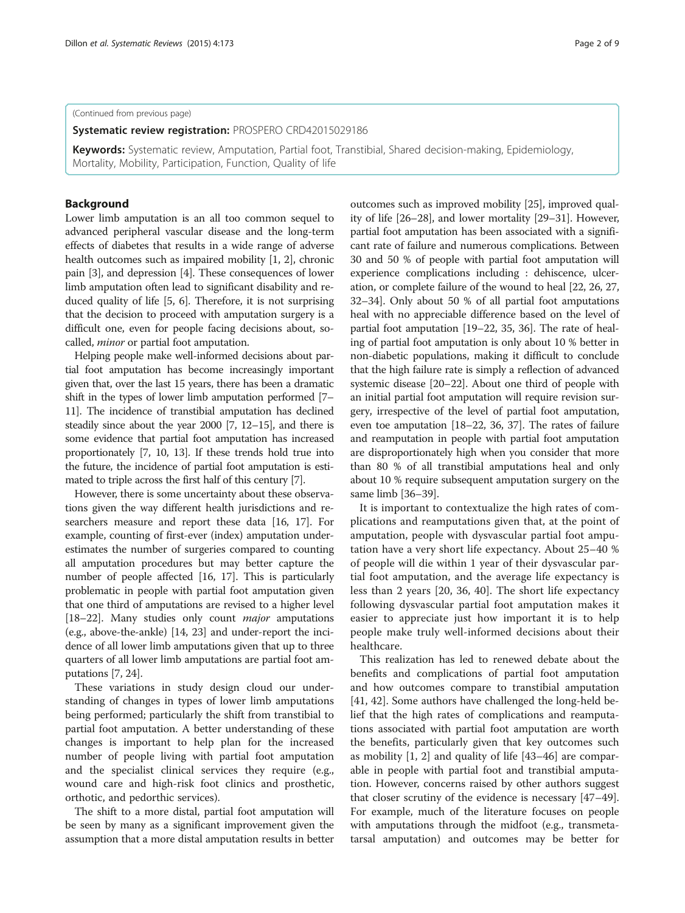(Continued from previous page)

Systematic review registration: PROSPERO [CRD42015029186](http://www.crd.york.ac.uk/PROSPERO/display_record.asp?ID=CRD42015029186)

Keywords: Systematic review, Amputation, Partial foot, Transtibial, Shared decision-making, Epidemiology, Mortality, Mobility, Participation, Function, Quality of life

### Background

Lower limb amputation is an all too common sequel to advanced peripheral vascular disease and the long-term effects of diabetes that results in a wide range of adverse health outcomes such as impaired mobility [\[1, 2\]](#page-7-0), chronic pain [\[3\]](#page-7-0), and depression [[4](#page-7-0)]. These consequences of lower limb amputation often lead to significant disability and reduced quality of life [\[5](#page-7-0), [6\]](#page-7-0). Therefore, it is not surprising that the decision to proceed with amputation surgery is a difficult one, even for people facing decisions about, socalled, minor or partial foot amputation.

Helping people make well-informed decisions about partial foot amputation has become increasingly important given that, over the last 15 years, there has been a dramatic shift in the types of lower limb amputation performed [\[7](#page-7-0)– [11](#page-7-0)]. The incidence of transtibial amputation has declined steadily since about the year 2000 [\[7](#page-7-0), [12](#page-7-0)–[15](#page-7-0)], and there is some evidence that partial foot amputation has increased proportionately [\[7](#page-7-0), [10, 13](#page-7-0)]. If these trends hold true into the future, the incidence of partial foot amputation is estimated to triple across the first half of this century [\[7\]](#page-7-0).

However, there is some uncertainty about these observations given the way different health jurisdictions and researchers measure and report these data [[16](#page-7-0), [17](#page-7-0)]. For example, counting of first-ever (index) amputation underestimates the number of surgeries compared to counting all amputation procedures but may better capture the number of people affected [[16](#page-7-0), [17\]](#page-7-0). This is particularly problematic in people with partial foot amputation given that one third of amputations are revised to a higher level [[18](#page-7-0)–[22\]](#page-7-0). Many studies only count major amputations (e.g., above-the-ankle) [[14](#page-7-0), [23\]](#page-7-0) and under-report the incidence of all lower limb amputations given that up to three quarters of all lower limb amputations are partial foot amputations [[7, 24\]](#page-7-0).

These variations in study design cloud our understanding of changes in types of lower limb amputations being performed; particularly the shift from transtibial to partial foot amputation. A better understanding of these changes is important to help plan for the increased number of people living with partial foot amputation and the specialist clinical services they require (e.g., wound care and high-risk foot clinics and prosthetic, orthotic, and pedorthic services).

The shift to a more distal, partial foot amputation will be seen by many as a significant improvement given the assumption that a more distal amputation results in better outcomes such as improved mobility [\[25\]](#page-7-0), improved quality of life [[26](#page-7-0)–[28\]](#page-7-0), and lower mortality [[29](#page-7-0)–[31\]](#page-7-0). However, partial foot amputation has been associated with a significant rate of failure and numerous complications. Between 30 and 50 % of people with partial foot amputation will experience complications including : dehiscence, ulceration, or complete failure of the wound to heal [[22](#page-7-0), [26, 27](#page-7-0), [32](#page-8-0)–[34\]](#page-8-0). Only about 50 % of all partial foot amputations heal with no appreciable difference based on the level of partial foot amputation [\[19](#page-7-0)–[22](#page-7-0), [35, 36\]](#page-8-0). The rate of healing of partial foot amputation is only about 10 % better in non-diabetic populations, making it difficult to conclude that the high failure rate is simply a reflection of advanced systemic disease [[20](#page-7-0)–[22\]](#page-7-0). About one third of people with an initial partial foot amputation will require revision surgery, irrespective of the level of partial foot amputation, even toe amputation [\[18](#page-7-0)–[22,](#page-7-0) [36, 37](#page-8-0)]. The rates of failure and reamputation in people with partial foot amputation are disproportionately high when you consider that more than 80 % of all transtibial amputations heal and only about 10 % require subsequent amputation surgery on the same limb [[36](#page-8-0)–[39\]](#page-8-0).

It is important to contextualize the high rates of complications and reamputations given that, at the point of amputation, people with dysvascular partial foot amputation have a very short life expectancy. About 25–40 % of people will die within 1 year of their dysvascular partial foot amputation, and the average life expectancy is less than 2 years [\[20](#page-7-0), [36](#page-8-0), [40\]](#page-8-0). The short life expectancy following dysvascular partial foot amputation makes it easier to appreciate just how important it is to help people make truly well-informed decisions about their healthcare.

This realization has led to renewed debate about the benefits and complications of partial foot amputation and how outcomes compare to transtibial amputation [[41, 42\]](#page-8-0). Some authors have challenged the long-held belief that the high rates of complications and reamputations associated with partial foot amputation are worth the benefits, particularly given that key outcomes such as mobility [\[1](#page-7-0), [2](#page-7-0)] and quality of life [[43](#page-8-0)–[46](#page-8-0)] are comparable in people with partial foot and transtibial amputation. However, concerns raised by other authors suggest that closer scrutiny of the evidence is necessary [[47](#page-8-0)–[49](#page-8-0)]. For example, much of the literature focuses on people with amputations through the midfoot (e.g., transmetatarsal amputation) and outcomes may be better for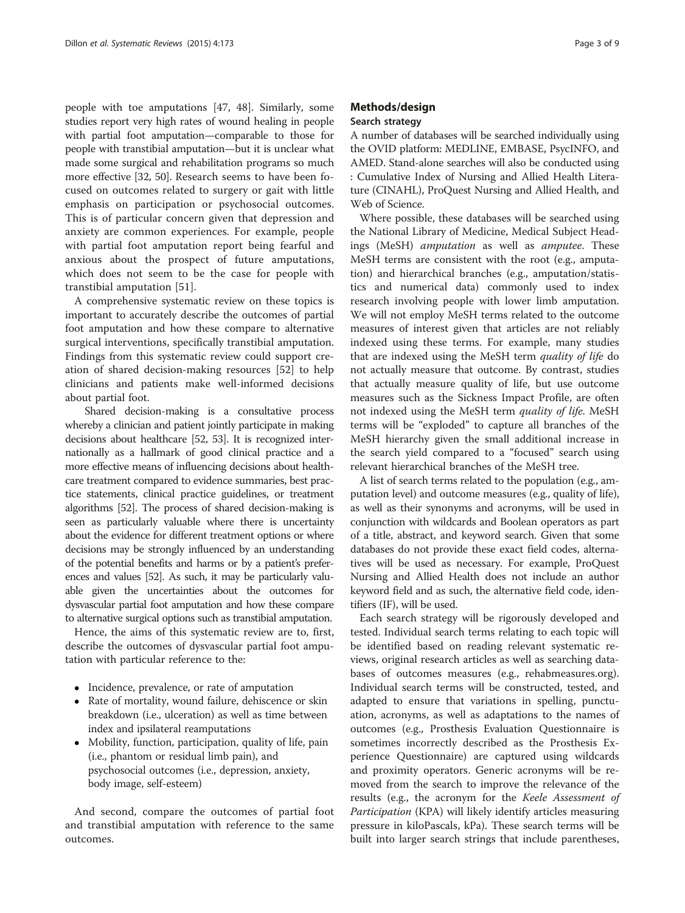people with toe amputations [[47](#page-8-0), [48](#page-8-0)]. Similarly, some studies report very high rates of wound healing in people with partial foot amputation—comparable to those for people with transtibial amputation—but it is unclear what made some surgical and rehabilitation programs so much more effective [[32](#page-8-0), [50](#page-8-0)]. Research seems to have been focused on outcomes related to surgery or gait with little emphasis on participation or psychosocial outcomes. This is of particular concern given that depression and anxiety are common experiences. For example, people with partial foot amputation report being fearful and anxious about the prospect of future amputations, which does not seem to be the case for people with transtibial amputation [\[51](#page-8-0)].

A comprehensive systematic review on these topics is important to accurately describe the outcomes of partial foot amputation and how these compare to alternative surgical interventions, specifically transtibial amputation. Findings from this systematic review could support creation of shared decision-making resources [\[52\]](#page-8-0) to help clinicians and patients make well-informed decisions about partial foot.

Shared decision-making is a consultative process whereby a clinician and patient jointly participate in making decisions about healthcare [\[52, 53\]](#page-8-0). It is recognized internationally as a hallmark of good clinical practice and a more effective means of influencing decisions about healthcare treatment compared to evidence summaries, best practice statements, clinical practice guidelines, or treatment algorithms [\[52](#page-8-0)]. The process of shared decision-making is seen as particularly valuable where there is uncertainty about the evidence for different treatment options or where decisions may be strongly influenced by an understanding of the potential benefits and harms or by a patient's preferences and values [\[52](#page-8-0)]. As such, it may be particularly valuable given the uncertainties about the outcomes for dysvascular partial foot amputation and how these compare to alternative surgical options such as transtibial amputation.

Hence, the aims of this systematic review are to, first, describe the outcomes of dysvascular partial foot amputation with particular reference to the:

- Incidence, prevalence, or rate of amputation
- Rate of mortality, wound failure, dehiscence or skin breakdown (i.e., ulceration) as well as time between index and ipsilateral reamputations
- Mobility, function, participation, quality of life, pain (i.e., phantom or residual limb pain), and psychosocial outcomes (i.e., depression, anxiety, body image, self-esteem)

And second, compare the outcomes of partial foot and transtibial amputation with reference to the same outcomes.

### Methods/design Search strategy

A number of databases will be searched individually using the OVID platform: MEDLINE, EMBASE, PsycINFO, and AMED. Stand-alone searches will also be conducted using : Cumulative Index of Nursing and Allied Health Literature (CINAHL), ProQuest Nursing and Allied Health, and Web of Science.

Where possible, these databases will be searched using the National Library of Medicine, Medical Subject Headings (MeSH) amputation as well as amputee. These MeSH terms are consistent with the root (e.g., amputation) and hierarchical branches (e.g., amputation/statistics and numerical data) commonly used to index research involving people with lower limb amputation. We will not employ MeSH terms related to the outcome measures of interest given that articles are not reliably indexed using these terms. For example, many studies that are indexed using the MeSH term quality of life do not actually measure that outcome. By contrast, studies that actually measure quality of life, but use outcome measures such as the Sickness Impact Profile, are often not indexed using the MeSH term quality of life. MeSH terms will be "exploded" to capture all branches of the MeSH hierarchy given the small additional increase in the search yield compared to a "focused" search using relevant hierarchical branches of the MeSH tree.

A list of search terms related to the population (e.g., amputation level) and outcome measures (e.g., quality of life), as well as their synonyms and acronyms, will be used in conjunction with wildcards and Boolean operators as part of a title, abstract, and keyword search. Given that some databases do not provide these exact field codes, alternatives will be used as necessary. For example, ProQuest Nursing and Allied Health does not include an author keyword field and as such, the alternative field code, identifiers (IF), will be used.

Each search strategy will be rigorously developed and tested. Individual search terms relating to each topic will be identified based on reading relevant systematic reviews, original research articles as well as searching databases of outcomes measures (e.g., rehabmeasures.org). Individual search terms will be constructed, tested, and adapted to ensure that variations in spelling, punctuation, acronyms, as well as adaptations to the names of outcomes (e.g., Prosthesis Evaluation Questionnaire is sometimes incorrectly described as the Prosthesis Experience Questionnaire) are captured using wildcards and proximity operators. Generic acronyms will be removed from the search to improve the relevance of the results (e.g., the acronym for the Keele Assessment of Participation (KPA) will likely identify articles measuring pressure in kiloPascals, kPa). These search terms will be built into larger search strings that include parentheses,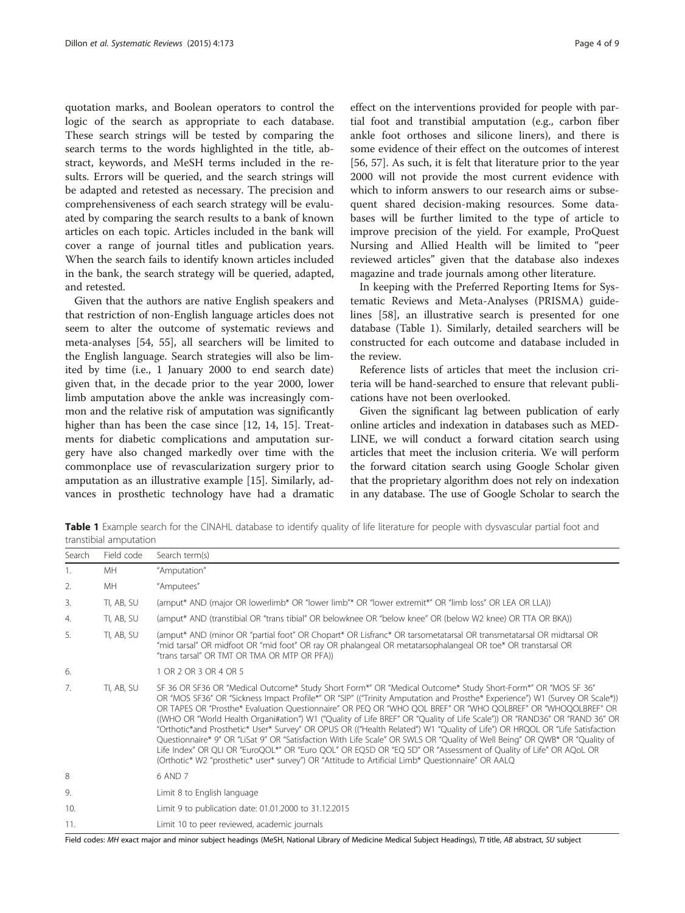quotation marks, and Boolean operators to control the logic of the search as appropriate to each database. These search strings will be tested by comparing the search terms to the words highlighted in the title, abstract, keywords, and MeSH terms included in the results. Errors will be queried, and the search strings will be adapted and retested as necessary. The precision and comprehensiveness of each search strategy will be evaluated by comparing the search results to a bank of known articles on each topic. Articles included in the bank will cover a range of journal titles and publication years. When the search fails to identify known articles included in the bank, the search strategy will be queried, adapted, and retested.

Given that the authors are native English speakers and that restriction of non-English language articles does not seem to alter the outcome of systematic reviews and meta-analyses [[54](#page-8-0), [55](#page-8-0)], all searchers will be limited to the English language. Search strategies will also be limited by time (i.e., 1 January 2000 to end search date) given that, in the decade prior to the year 2000, lower limb amputation above the ankle was increasingly common and the relative risk of amputation was significantly higher than has been the case since [\[12](#page-7-0), [14](#page-7-0), [15\]](#page-7-0). Treatments for diabetic complications and amputation surgery have also changed markedly over time with the commonplace use of revascularization surgery prior to amputation as an illustrative example [[15\]](#page-7-0). Similarly, advances in prosthetic technology have had a dramatic

effect on the interventions provided for people with partial foot and transtibial amputation (e.g., carbon fiber ankle foot orthoses and silicone liners), and there is some evidence of their effect on the outcomes of interest [[56, 57\]](#page-8-0). As such, it is felt that literature prior to the year 2000 will not provide the most current evidence with which to inform answers to our research aims or subsequent shared decision-making resources. Some databases will be further limited to the type of article to improve precision of the yield. For example, ProQuest Nursing and Allied Health will be limited to "peer reviewed articles" given that the database also indexes magazine and trade journals among other literature.

In keeping with the Preferred Reporting Items for Systematic Reviews and Meta-Analyses (PRISMA) guidelines [\[58](#page-8-0)], an illustrative search is presented for one database (Table 1). Similarly, detailed searchers will be constructed for each outcome and database included in the review.

Reference lists of articles that meet the inclusion criteria will be hand-searched to ensure that relevant publications have not been overlooked.

Given the significant lag between publication of early online articles and indexation in databases such as MED-LINE, we will conduct a forward citation search using articles that meet the inclusion criteria. We will perform the forward citation search using Google Scholar given that the proprietary algorithm does not rely on indexation in any database. The use of Google Scholar to search the

Table 1 Example search for the CINAHL database to identify quality of life literature for people with dysvascular partial foot and transtibial amputation

| Search           | Field code | Search term(s)                                                                                                                                                                                                                                                                                                                                                                                                                                                                                                                                                                                                                                                                                                                                                                                                                                                                                                                                                                |
|------------------|------------|-------------------------------------------------------------------------------------------------------------------------------------------------------------------------------------------------------------------------------------------------------------------------------------------------------------------------------------------------------------------------------------------------------------------------------------------------------------------------------------------------------------------------------------------------------------------------------------------------------------------------------------------------------------------------------------------------------------------------------------------------------------------------------------------------------------------------------------------------------------------------------------------------------------------------------------------------------------------------------|
| 1.               | MH         | "Amputation"                                                                                                                                                                                                                                                                                                                                                                                                                                                                                                                                                                                                                                                                                                                                                                                                                                                                                                                                                                  |
| 2.               | MH.        | "Amputees"                                                                                                                                                                                                                                                                                                                                                                                                                                                                                                                                                                                                                                                                                                                                                                                                                                                                                                                                                                    |
| $\overline{3}$ . | TI, AB, SU | (amput* AND (major OR lowerlimb* OR "lower limb"* OR "lower extremit*" OR "limb loss" OR LEA OR LLA))                                                                                                                                                                                                                                                                                                                                                                                                                                                                                                                                                                                                                                                                                                                                                                                                                                                                         |
| 4.               | TI, AB, SU | (amput* AND (transtibial OR "trans tibial" OR belowknee OR "below knee" OR (below W2 knee) OR TTA OR BKA))                                                                                                                                                                                                                                                                                                                                                                                                                                                                                                                                                                                                                                                                                                                                                                                                                                                                    |
| 5.               | TI, AB, SU | (amput* AND (minor OR "partial foot" OR Chopart* OR Lisfranc* OR tarsometatarsal OR transmetatarsal OR midtarsal OR<br>"mid tarsal" OR midfoot OR "mid foot" OR ray OR phalangeal OR metatarsophalangeal OR toe* OR transtarsal OR<br>"trans tarsal" OR TMT OR TMA OR MTP OR PFA))                                                                                                                                                                                                                                                                                                                                                                                                                                                                                                                                                                                                                                                                                            |
| 6.               |            | 1 OR 2 OR 3 OR 4 OR 5                                                                                                                                                                                                                                                                                                                                                                                                                                                                                                                                                                                                                                                                                                                                                                                                                                                                                                                                                         |
| 7.               | TI, AB, SU | SF 36 OR SF36 OR "Medical Outcome* Study Short Form*" OR "Medical Outcome* Study Short-Form*" OR "MOS SF 36"<br>OR "MOS SF36" OR "Sickness Impact Profile*" OR "SIP" (("Trinity Amputation and Prosthe* Experience") W1 (Survey OR Scale*))<br>OR TAPES OR "Prosthe* Evaluation Questionnaire" OR PEQ OR "WHO QOL BREF" OR "WHO QOLBREF" OR "WHOQOLBREF" OR<br>((WHO OR "World Health Organi#ation") W1 ("Quality of Life BREF" OR "Quality of Life Scale")) OR "RAND36" OR "RAND 36" OR<br>"Orthotic*and Prosthetic* User* Survey" OR OPUS OR (("Health Related") W1 "Quality of Life") OR HRQOL OR "Life Satisfaction<br>Questionnaire* 9" OR "LiSat 9" OR "Satisfaction With Life Scale" OR SWLS OR "Quality of Well Being" OR QWB* OR "Quality of<br>Life Index" OR QLI OR "EuroQOL*" OR "Euro QOL" OR EQ5D OR "EQ 5D" OR "Assessment of Quality of Life" OR AQoL OR<br>(Orthotic* W2 "prosthetic* user* survey") OR "Attitude to Artificial Limb* Questionnaire" OR AALQ |
| 8                |            | 6 AND 7                                                                                                                                                                                                                                                                                                                                                                                                                                                                                                                                                                                                                                                                                                                                                                                                                                                                                                                                                                       |
| 9.               |            | Limit 8 to English language                                                                                                                                                                                                                                                                                                                                                                                                                                                                                                                                                                                                                                                                                                                                                                                                                                                                                                                                                   |
| 10.              |            | Limit 9 to publication date: 01.01.2000 to 31.12.2015                                                                                                                                                                                                                                                                                                                                                                                                                                                                                                                                                                                                                                                                                                                                                                                                                                                                                                                         |
| 11.              |            | Limit 10 to peer reviewed, academic journals                                                                                                                                                                                                                                                                                                                                                                                                                                                                                                                                                                                                                                                                                                                                                                                                                                                                                                                                  |

Field codes: MH exact major and minor subject headings (MeSH, National Library of Medicine Medical Subject Headings), TI title, AB abstract, SU subject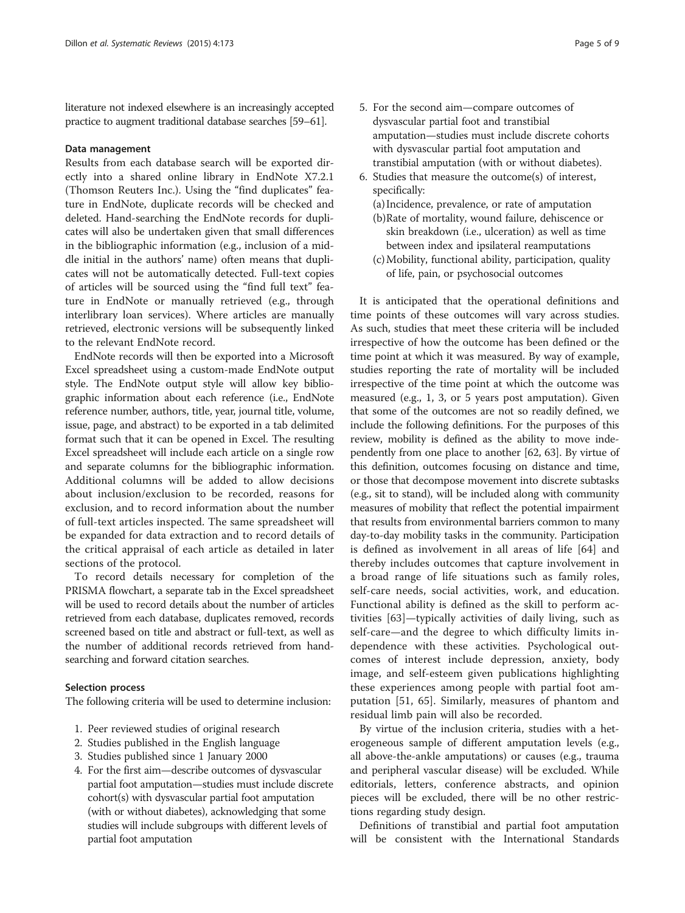literature not indexed elsewhere is an increasingly accepted practice to augment traditional database searches [[59](#page-8-0)–[61](#page-8-0)].

### Data management

Results from each database search will be exported directly into a shared online library in EndNote X7.2.1 (Thomson Reuters Inc.). Using the "find duplicates" feature in EndNote, duplicate records will be checked and deleted. Hand-searching the EndNote records for duplicates will also be undertaken given that small differences in the bibliographic information (e.g., inclusion of a middle initial in the authors' name) often means that duplicates will not be automatically detected. Full-text copies of articles will be sourced using the "find full text" feature in EndNote or manually retrieved (e.g., through interlibrary loan services). Where articles are manually retrieved, electronic versions will be subsequently linked to the relevant EndNote record.

EndNote records will then be exported into a Microsoft Excel spreadsheet using a custom-made EndNote output style. The EndNote output style will allow key bibliographic information about each reference (i.e., EndNote reference number, authors, title, year, journal title, volume, issue, page, and abstract) to be exported in a tab delimited format such that it can be opened in Excel. The resulting Excel spreadsheet will include each article on a single row and separate columns for the bibliographic information. Additional columns will be added to allow decisions about inclusion/exclusion to be recorded, reasons for exclusion, and to record information about the number of full-text articles inspected. The same spreadsheet will be expanded for data extraction and to record details of the critical appraisal of each article as detailed in later sections of the protocol.

To record details necessary for completion of the PRISMA flowchart, a separate tab in the Excel spreadsheet will be used to record details about the number of articles retrieved from each database, duplicates removed, records screened based on title and abstract or full-text, as well as the number of additional records retrieved from handsearching and forward citation searches.

### Selection process

The following criteria will be used to determine inclusion:

- 1. Peer reviewed studies of original research
- 2. Studies published in the English language
- 3. Studies published since 1 January 2000
- 4. For the first aim—describe outcomes of dysvascular partial foot amputation—studies must include discrete cohort(s) with dysvascular partial foot amputation (with or without diabetes), acknowledging that some studies will include subgroups with different levels of partial foot amputation
- 5. For the second aim—compare outcomes of dysvascular partial foot and transtibial amputation—studies must include discrete cohorts with dysvascular partial foot amputation and transtibial amputation (with or without diabetes).
- 6. Studies that measure the outcome(s) of interest, specifically:
	- (a) Incidence, prevalence, or rate of amputation (b)Rate of mortality, wound failure, dehiscence or skin breakdown (i.e., ulceration) as well as time
	- between index and ipsilateral reamputations (c)Mobility, functional ability, participation, quality
	- of life, pain, or psychosocial outcomes

It is anticipated that the operational definitions and time points of these outcomes will vary across studies. As such, studies that meet these criteria will be included irrespective of how the outcome has been defined or the time point at which it was measured. By way of example, studies reporting the rate of mortality will be included irrespective of the time point at which the outcome was measured (e.g., 1, 3, or 5 years post amputation). Given that some of the outcomes are not so readily defined, we include the following definitions. For the purposes of this review, mobility is defined as the ability to move independently from one place to another [\[62, 63](#page-8-0)]. By virtue of this definition, outcomes focusing on distance and time, or those that decompose movement into discrete subtasks (e.g., sit to stand), will be included along with community measures of mobility that reflect the potential impairment that results from environmental barriers common to many day-to-day mobility tasks in the community. Participation is defined as involvement in all areas of life [[64\]](#page-8-0) and thereby includes outcomes that capture involvement in a broad range of life situations such as family roles, self-care needs, social activities, work, and education. Functional ability is defined as the skill to perform activities [[63\]](#page-8-0)—typically activities of daily living, such as self-care—and the degree to which difficulty limits independence with these activities. Psychological outcomes of interest include depression, anxiety, body image, and self-esteem given publications highlighting these experiences among people with partial foot amputation [\[51](#page-8-0), [65\]](#page-8-0). Similarly, measures of phantom and residual limb pain will also be recorded.

By virtue of the inclusion criteria, studies with a heterogeneous sample of different amputation levels (e.g., all above-the-ankle amputations) or causes (e.g., trauma and peripheral vascular disease) will be excluded. While editorials, letters, conference abstracts, and opinion pieces will be excluded, there will be no other restrictions regarding study design.

Definitions of transtibial and partial foot amputation will be consistent with the International Standards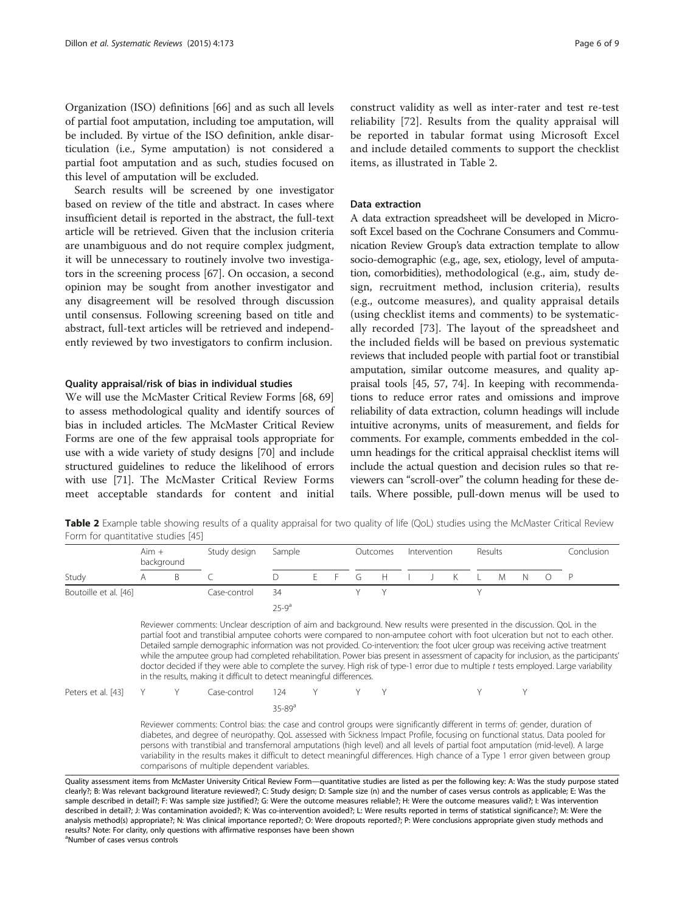<span id="page-5-0"></span>Organization (ISO) definitions [\[66\]](#page-8-0) and as such all levels of partial foot amputation, including toe amputation, will be included. By virtue of the ISO definition, ankle disarticulation (i.e., Syme amputation) is not considered a partial foot amputation and as such, studies focused on this level of amputation will be excluded.

Search results will be screened by one investigator based on review of the title and abstract. In cases where insufficient detail is reported in the abstract, the full-text article will be retrieved. Given that the inclusion criteria are unambiguous and do not require complex judgment, it will be unnecessary to routinely involve two investigators in the screening process [\[67](#page-8-0)]. On occasion, a second opinion may be sought from another investigator and any disagreement will be resolved through discussion until consensus. Following screening based on title and abstract, full-text articles will be retrieved and independently reviewed by two investigators to confirm inclusion.

#### Quality appraisal/risk of bias in individual studies

We will use the McMaster Critical Review Forms [\[68, 69](#page-8-0)] to assess methodological quality and identify sources of bias in included articles. The McMaster Critical Review Forms are one of the few appraisal tools appropriate for use with a wide variety of study designs [[70](#page-8-0)] and include structured guidelines to reduce the likelihood of errors with use [[71](#page-8-0)]. The McMaster Critical Review Forms meet acceptable standards for content and initial

construct validity as well as inter-rater and test re-test reliability [[72\]](#page-8-0). Results from the quality appraisal will be reported in tabular format using Microsoft Excel and include detailed comments to support the checklist items, as illustrated in Table 2.

#### Data extraction

A data extraction spreadsheet will be developed in Microsoft Excel based on the Cochrane Consumers and Communication Review Group's data extraction template to allow socio-demographic (e.g., age, sex, etiology, level of amputation, comorbidities), methodological (e.g., aim, study design, recruitment method, inclusion criteria), results (e.g., outcome measures), and quality appraisal details (using checklist items and comments) to be systematically recorded [\[73](#page-8-0)]. The layout of the spreadsheet and the included fields will be based on previous systematic reviews that included people with partial foot or transtibial amputation, similar outcome measures, and quality appraisal tools [[45](#page-8-0), [57](#page-8-0), [74](#page-8-0)]. In keeping with recommendations to reduce error rates and omissions and improve reliability of data extraction, column headings will include intuitive acronyms, units of measurement, and fields for comments. For example, comments embedded in the column headings for the critical appraisal checklist items will include the actual question and decision rules so that reviewers can "scroll-over" the column heading for these details. Where possible, pull-down menus will be used to

Table 2 Example table showing results of a quality appraisal for two quality of life (QoL) studies using the McMaster Critical Review Form for quantitative studies [\[45\]](#page-8-0)

|                       | Aim +<br>background |              | Study design                                                                                                                                                                                                                                                                                                                                                                                                                                                                                                                                                                                                                                                                                                                                          | Sample      |  |  | Outcomes |   | Intervention |  |  | <b>Results</b> |   |   | Conclusion |   |
|-----------------------|---------------------|--------------|-------------------------------------------------------------------------------------------------------------------------------------------------------------------------------------------------------------------------------------------------------------------------------------------------------------------------------------------------------------------------------------------------------------------------------------------------------------------------------------------------------------------------------------------------------------------------------------------------------------------------------------------------------------------------------------------------------------------------------------------------------|-------------|--|--|----------|---|--------------|--|--|----------------|---|---|------------|---|
| Study                 |                     | <sub>B</sub> |                                                                                                                                                                                                                                                                                                                                                                                                                                                                                                                                                                                                                                                                                                                                                       |             |  |  | G        | Н |              |  |  |                | M | N |            | P |
| Boutoille et al. [46] |                     |              | Case-control                                                                                                                                                                                                                                                                                                                                                                                                                                                                                                                                                                                                                                                                                                                                          | 34          |  |  |          |   |              |  |  | V              |   |   |            |   |
|                       |                     |              |                                                                                                                                                                                                                                                                                                                                                                                                                                                                                                                                                                                                                                                                                                                                                       | $25-9^a$    |  |  |          |   |              |  |  |                |   |   |            |   |
|                       |                     |              | Reviewer comments: Unclear description of aim and background. New results were presented in the discussion. QoL in the<br>partial foot and transtibial amputee cohorts were compared to non-amputee cohort with foot ulceration but not to each other.<br>Detailed sample demographic information was not provided. Co-intervention: the foot ulcer group was receiving active treatment<br>while the amputee group had completed rehabilitation. Power bias present in assessment of capacity for inclusion, as the participants'<br>doctor decided if they were able to complete the survey. High risk of type-1 error due to multiple t tests employed. Large variability<br>in the results, making it difficult to detect meaningful differences. |             |  |  |          |   |              |  |  |                |   |   |            |   |
| Peters et al. [43]    |                     |              | Case-control                                                                                                                                                                                                                                                                                                                                                                                                                                                                                                                                                                                                                                                                                                                                          | 124.        |  |  |          |   |              |  |  |                |   |   |            |   |
|                       |                     |              |                                                                                                                                                                                                                                                                                                                                                                                                                                                                                                                                                                                                                                                                                                                                                       | $35 - 89^a$ |  |  |          |   |              |  |  |                |   |   |            |   |
|                       |                     |              | Reviewer comments: Control bias: the case and control groups were significantly different in terms of: gender, duration of<br>dishates and degree of nouronathy. Only accorded with Ciclopean Impact Drofile, focusing an functional status, Data pooled for                                                                                                                                                                                                                                                                                                                                                                                                                                                                                          |             |  |  |          |   |              |  |  |                |   |   |            |   |

diabetes, and degree of neuropathy. QoL assessed with Sickness Impact Profile, focusing on functional status. Data pooled for persons with transtibial and transfemoral amputations (high level) and all levels of partial foot amputation (mid-level). A large variability in the results makes it difficult to detect meaningful differences. High chance of a Type 1 error given between group comparisons of multiple dependent variables.

Quality assessment items from McMaster University Critical Review Form—quantitative studies are listed as per the following key: A: Was the study purpose stated clearly?; B: Was relevant background literature reviewed?; C: Study design; D: Sample size (n) and the number of cases versus controls as applicable; E: Was the sample described in detail?; F: Was sample size justified?; G: Were the outcome measures reliable?; H: Were the outcome measures valid?; I: Was intervention described in detail?; J: Was contamination avoided?; K: Was co-intervention avoided?; L: Were results reported in terms of statistical significance?; M: Were the analysis method(s) appropriate?; N: Was clinical importance reported?; O: Were dropouts reported?; P: Were conclusions appropriate given study methods and results? Note: For clarity, only questions with affirmative responses have been shown <sup>a</sup>Number of cases versus controls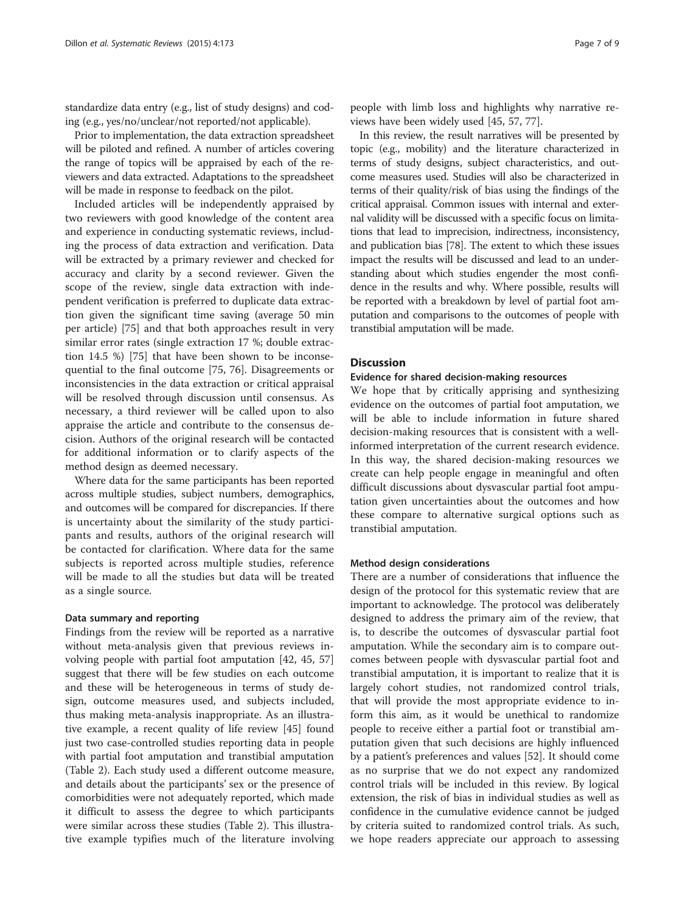standardize data entry (e.g., list of study designs) and coding (e.g., yes/no/unclear/not reported/not applicable).

Prior to implementation, the data extraction spreadsheet will be piloted and refined. A number of articles covering the range of topics will be appraised by each of the reviewers and data extracted. Adaptations to the spreadsheet will be made in response to feedback on the pilot.

Included articles will be independently appraised by two reviewers with good knowledge of the content area and experience in conducting systematic reviews, including the process of data extraction and verification. Data will be extracted by a primary reviewer and checked for accuracy and clarity by a second reviewer. Given the scope of the review, single data extraction with independent verification is preferred to duplicate data extraction given the significant time saving (average 50 min per article) [[75\]](#page-8-0) and that both approaches result in very similar error rates (single extraction 17 %; double extraction 14.5 %) [[75](#page-8-0)] that have been shown to be inconsequential to the final outcome [\[75](#page-8-0), [76\]](#page-8-0). Disagreements or inconsistencies in the data extraction or critical appraisal will be resolved through discussion until consensus. As necessary, a third reviewer will be called upon to also appraise the article and contribute to the consensus decision. Authors of the original research will be contacted for additional information or to clarify aspects of the method design as deemed necessary.

Where data for the same participants has been reported across multiple studies, subject numbers, demographics, and outcomes will be compared for discrepancies. If there is uncertainty about the similarity of the study participants and results, authors of the original research will be contacted for clarification. Where data for the same subjects is reported across multiple studies, reference will be made to all the studies but data will be treated as a single source.

### Data summary and reporting

Findings from the review will be reported as a narrative without meta-analysis given that previous reviews involving people with partial foot amputation [[42, 45, 57](#page-8-0)] suggest that there will be few studies on each outcome and these will be heterogeneous in terms of study design, outcome measures used, and subjects included, thus making meta-analysis inappropriate. As an illustrative example, a recent quality of life review [\[45](#page-8-0)] found just two case-controlled studies reporting data in people with partial foot amputation and transtibial amputation (Table [2](#page-5-0)). Each study used a different outcome measure, and details about the participants' sex or the presence of comorbidities were not adequately reported, which made it difficult to assess the degree to which participants were similar across these studies (Table [2\)](#page-5-0). This illustrative example typifies much of the literature involving

people with limb loss and highlights why narrative reviews have been widely used [\[45](#page-8-0), [57, 77\]](#page-8-0).

In this review, the result narratives will be presented by topic (e.g., mobility) and the literature characterized in terms of study designs, subject characteristics, and outcome measures used. Studies will also be characterized in terms of their quality/risk of bias using the findings of the critical appraisal. Common issues with internal and external validity will be discussed with a specific focus on limitations that lead to imprecision, indirectness, inconsistency, and publication bias [\[78](#page-8-0)]. The extent to which these issues impact the results will be discussed and lead to an understanding about which studies engender the most confidence in the results and why. Where possible, results will be reported with a breakdown by level of partial foot amputation and comparisons to the outcomes of people with transtibial amputation will be made.

### **Discussion**

#### Evidence for shared decision-making resources

We hope that by critically apprising and synthesizing evidence on the outcomes of partial foot amputation, we will be able to include information in future shared decision-making resources that is consistent with a wellinformed interpretation of the current research evidence. In this way, the shared decision-making resources we create can help people engage in meaningful and often difficult discussions about dysvascular partial foot amputation given uncertainties about the outcomes and how these compare to alternative surgical options such as transtibial amputation.

### Method design considerations

There are a number of considerations that influence the design of the protocol for this systematic review that are important to acknowledge. The protocol was deliberately designed to address the primary aim of the review, that is, to describe the outcomes of dysvascular partial foot amputation. While the secondary aim is to compare outcomes between people with dysvascular partial foot and transtibial amputation, it is important to realize that it is largely cohort studies, not randomized control trials, that will provide the most appropriate evidence to inform this aim, as it would be unethical to randomize people to receive either a partial foot or transtibial amputation given that such decisions are highly influenced by a patient's preferences and values [[52\]](#page-8-0). It should come as no surprise that we do not expect any randomized control trials will be included in this review. By logical extension, the risk of bias in individual studies as well as confidence in the cumulative evidence cannot be judged by criteria suited to randomized control trials. As such, we hope readers appreciate our approach to assessing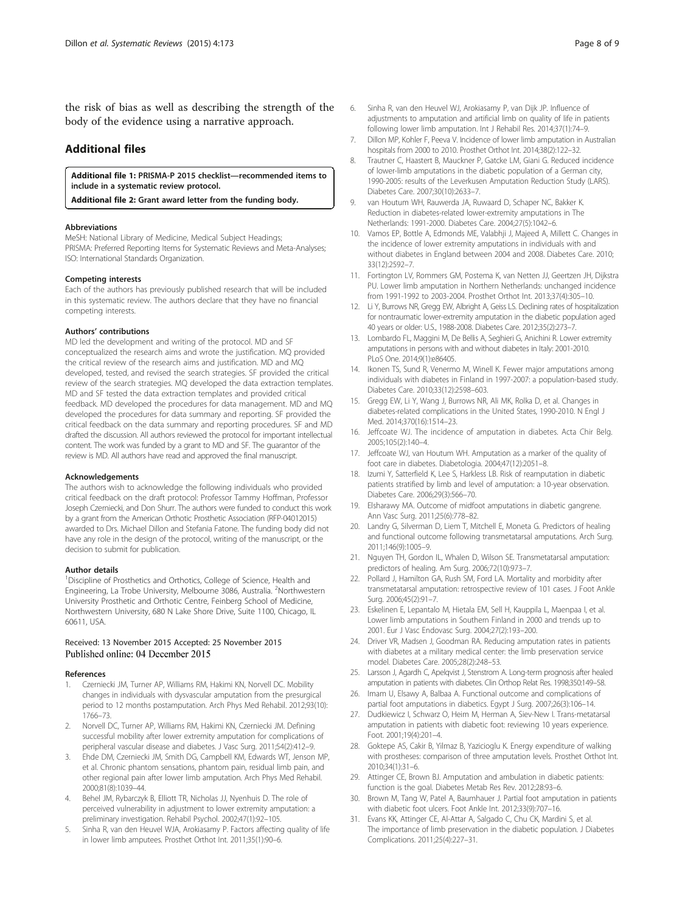<span id="page-7-0"></span>the risk of bias as well as describing the strength of the body of the evidence using a narrative approach.

### Additional files

[Additional file 1:](dx.doi.org/10.1186/s13643-015-0161-9) PRISMA-P 2015 checklist—recommended items to include in a systematic review protocol.

[Additional file 2:](dx.doi.org/10.1186/s13643-015-0161-9) Grant award letter from the funding body.

#### Abbreviations

MeSH: National Library of Medicine, Medical Subject Headings; PRISMA: Preferred Reporting Items for Systematic Reviews and Meta-Analyses; ISO: International Standards Organization.

#### Competing interests

Each of the authors has previously published research that will be included in this systematic review. The authors declare that they have no financial competing interests.

#### Authors' contributions

MD led the development and writing of the protocol. MD and SF conceptualized the research aims and wrote the justification. MQ provided the critical review of the research aims and justification. MD and MQ developed, tested, and revised the search strategies. SF provided the critical review of the search strategies. MQ developed the data extraction templates. MD and SF tested the data extraction templates and provided critical feedback. MD developed the procedures for data management. MD and MQ developed the procedures for data summary and reporting. SF provided the critical feedback on the data summary and reporting procedures. SF and MD drafted the discussion. All authors reviewed the protocol for important intellectual content. The work was funded by a grant to MD and SF. The guarantor of the review is MD. All authors have read and approved the final manuscript.

#### Acknowledgements

The authors wish to acknowledge the following individuals who provided critical feedback on the draft protocol: Professor Tammy Hoffman, Professor Joseph Czerniecki, and Don Shurr. The authors were funded to conduct this work by a grant from the American Orthotic Prosthetic Association (RFP-04012015) awarded to Drs. Michael Dillon and Stefania Fatone. The funding body did not have any role in the design of the protocol, writing of the manuscript, or the decision to submit for publication.

#### Author details

<sup>1</sup>Discipline of Prosthetics and Orthotics, College of Science, Health and Engineering, La Trobe University, Melbourne 3086, Australia. <sup>2</sup>Northwestern University Prosthetic and Orthotic Centre, Feinberg School of Medicine, Northwestern University, 680 N Lake Shore Drive, Suite 1100, Chicago, IL 60611, USA.

### Received: 13 November 2015 Accepted: 25 November 2015 Published online: 04 December 2015

#### References

- 1. Czerniecki JM, Turner AP, Williams RM, Hakimi KN, Norvell DC. Mobility changes in individuals with dysvascular amputation from the presurgical period to 12 months postamputation. Arch Phys Med Rehabil. 2012;93(10): 1766–73.
- 2. Norvell DC, Turner AP, Williams RM, Hakimi KN, Czerniecki JM. Defining successful mobility after lower extremity amputation for complications of peripheral vascular disease and diabetes. J Vasc Surg. 2011;54(2):412–9.
- 3. Ehde DM, Czerniecki JM, Smith DG, Campbell KM, Edwards WT, Jenson MP, et al. Chronic phantom sensations, phantom pain, residual limb pain, and other regional pain after lower limb amputation. Arch Phys Med Rehabil. 2000;81(8):1039–44.
- 4. Behel JM, Rybarczyk B, Elliott TR, Nicholas JJ, Nyenhuis D. The role of perceived vulnerability in adjustment to lower extremity amputation: a preliminary investigation. Rehabil Psychol. 2002;47(1):92–105.
- 5. Sinha R, van den Heuvel WJA, Arokiasamy P. Factors affecting quality of life in lower limb amputees. Prosthet Orthot Int. 2011;35(1):90–6.
- 6. Sinha R, van den Heuvel WJ, Arokiasamy P, van Dijk JP. Influence of adjustments to amputation and artificial limb on quality of life in patients following lower limb amputation. Int J Rehabil Res. 2014;37(1):74–9.
- 7. Dillon MP, Kohler F, Peeva V. Incidence of lower limb amputation in Australian hospitals from 2000 to 2010. Prosthet Orthot Int. 2014;38(2):122–32.
- 8. Trautner C, Haastert B, Mauckner P, Gatcke LM, Giani G. Reduced incidence of lower-limb amputations in the diabetic population of a German city, 1990-2005: results of the Leverkusen Amputation Reduction Study (LARS). Diabetes Care. 2007;30(10):2633–7.
- 9. van Houtum WH, Rauwerda JA, Ruwaard D, Schaper NC, Bakker K. Reduction in diabetes-related lower-extremity amputations in The Netherlands: 1991-2000. Diabetes Care. 2004;27(5):1042–6.
- 10. Vamos EP, Bottle A, Edmonds ME, Valabhji J, Majeed A, Millett C. Changes in the incidence of lower extremity amputations in individuals with and without diabetes in England between 2004 and 2008. Diabetes Care. 2010; 33(12):2592–7.
- 11. Fortington LV, Rommers GM, Postema K, van Netten JJ, Geertzen JH, Dijkstra PU. Lower limb amputation in Northern Netherlands: unchanged incidence from 1991-1992 to 2003-2004. Prosthet Orthot Int. 2013;37(4):305–10.
- 12. Li Y, Burrows NR, Gregg EW, Albright A, Geiss LS. Declining rates of hospitalization for nontraumatic lower-extremity amputation in the diabetic population aged 40 years or older: U.S., 1988-2008. Diabetes Care. 2012;35(2):273–7.
- 13. Lombardo FL, Maggini M, De Bellis A, Seghieri G, Anichini R. Lower extremity amputations in persons with and without diabetes in Italy: 2001-2010. PLoS One. 2014;9(1):e86405.
- 14. Ikonen TS, Sund R, Venermo M, Winell K. Fewer major amputations among individuals with diabetes in Finland in 1997-2007: a population-based study. Diabetes Care. 2010;33(12):2598–603.
- 15. Gregg EW, Li Y, Wang J, Burrows NR, Ali MK, Rolka D, et al. Changes in diabetes-related complications in the United States, 1990-2010. N Engl J Med. 2014;370(16):1514–23.
- 16. Jeffcoate WJ. The incidence of amputation in diabetes. Acta Chir Belg. 2005;105(2):140–4.
- 17. Jeffcoate WJ, van Houtum WH. Amputation as a marker of the quality of foot care in diabetes. Diabetologia. 2004;47(12):2051–8.
- 18. Izumi Y, Satterfield K, Lee S, Harkless LB. Risk of reamputation in diabetic patients stratified by limb and level of amputation: a 10-year observation. Diabetes Care. 2006;29(3):566–70.
- 19. Elsharawy MA. Outcome of midfoot amputations in diabetic gangrene. Ann Vasc Surg. 2011;25(6):778–82.
- 20. Landry G, Silverman D, Liem T, Mitchell E, Moneta G. Predictors of healing and functional outcome following transmetatarsal amputations. Arch Surg. 2011;146(9):1005–9.
- 21. Nguyen TH, Gordon IL, Whalen D, Wilson SE. Transmetatarsal amputation: predictors of healing. Am Surg. 2006;72(10):973–7.
- 22. Pollard J, Hamilton GA, Rush SM, Ford LA. Mortality and morbidity after transmetatarsal amputation: retrospective review of 101 cases. J Foot Ankle Surg. 2006;45(2):91–7.
- 23. Eskelinen E, Lepantalo M, Hietala EM, Sell H, Kauppila L, Maenpaa I, et al. Lower limb amputations in Southern Finland in 2000 and trends up to 2001. Eur J Vasc Endovasc Surg. 2004;27(2):193–200.
- 24. Driver VR, Madsen J, Goodman RA. Reducing amputation rates in patients with diabetes at a military medical center: the limb preservation service model. Diabetes Care. 2005;28(2):248–53.
- 25. Larsson J, Agardh C, Apelqvist J, Stenstrom A. Long-term prognosis after healed amputation in patients with diabetes. Clin Orthop Relat Res. 1998;350:149–58.
- 26. Imam U, Elsawy A, Balbaa A. Functional outcome and complications of partial foot amputations in diabetics. Egypt J Surg. 2007;26(3):106–14.
- 27. Dudkiewicz I, Schwarz O, Heim M, Herman A, Siev-New I. Trans-metatarsal amputation in patients with diabetic foot: reviewing 10 years experience. Foot. 2001;19(4):201–4.
- 28. Goktepe AS, Cakir B, Yilmaz B, Yazicioglu K. Energy expenditure of walking with prostheses: comparison of three amputation levels. Prosthet Orthot Int. 2010;34(1):31–6.
- 29. Attinger CE, Brown BJ. Amputation and ambulation in diabetic patients: function is the goal. Diabetes Metab Res Rev. 2012;28:93–6.
- 30. Brown M, Tang W, Patel A, Baumhauer J. Partial foot amputation in patients with diabetic foot ulcers. Foot Ankle Int. 2012;33(9):707–16.
- 31. Evans KK, Attinger CE, Al-Attar A, Salgado C, Chu CK, Mardini S, et al. The importance of limb preservation in the diabetic population. J Diabetes Complications. 2011;25(4):227–31.